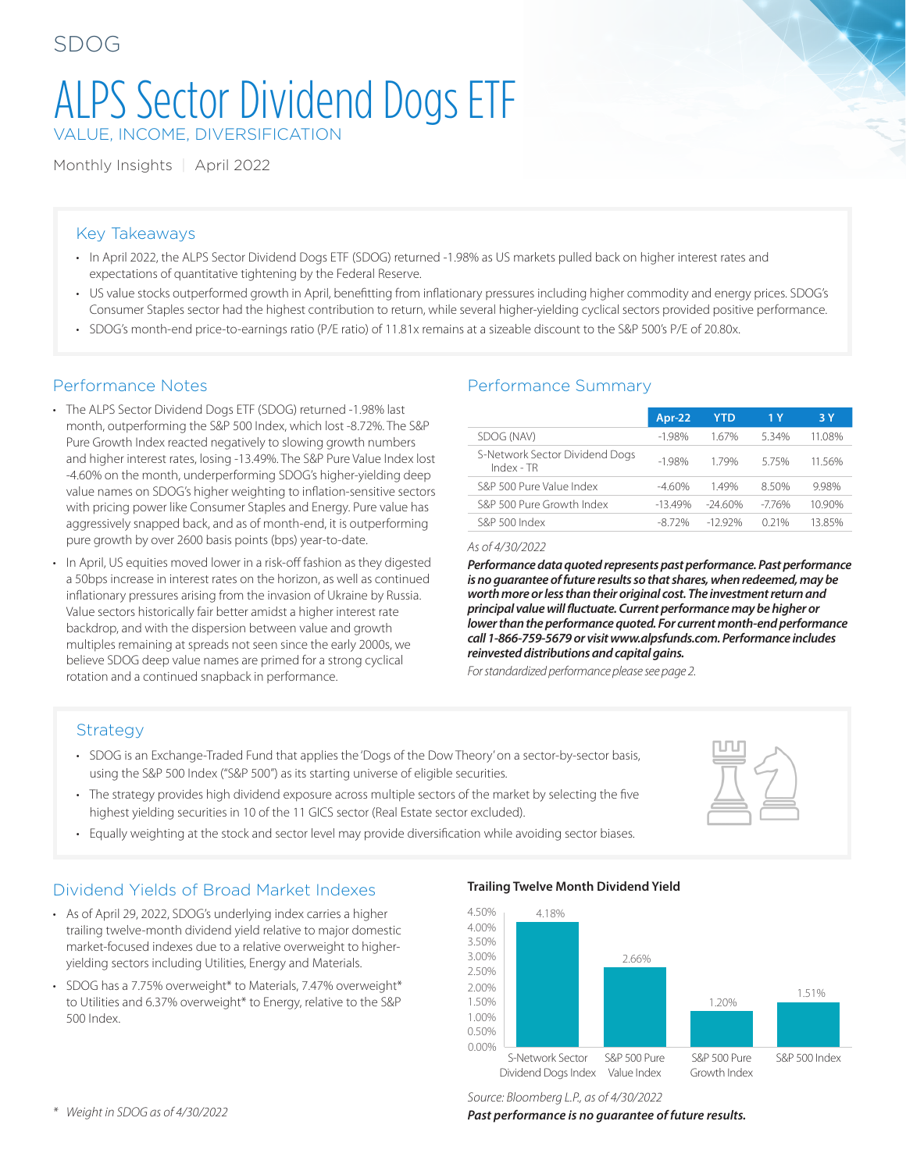# ALPS Sector Dividend Dogs ETF VALUE, INCOME, DIVERSIFICATION

Monthly Insights | April 2022

#### Key Takeaways

- In April 2022, the ALPS Sector Dividend Dogs ETF (SDOG) returned -1.98% as US markets pulled back on higher interest rates and expectations of quantitative tightening by the Federal Reserve.
- US value stocks outperformed growth in April, benefitting from inflationary pressures including higher commodity and energy prices. SDOG's Consumer Staples sector had the highest contribution to return, while several higher-yielding cyclical sectors provided positive performance.
- SDOG's month-end price-to-earnings ratio (P/E ratio) of 11.81x remains at a sizeable discount to the S&P 500's P/E of 20.80x.

#### Performance Notes

- The ALPS Sector Dividend Dogs ETF (SDOG) returned -1.98% last month, outperforming the S&P 500 Index, which lost -8.72%. The S&P Pure Growth Index reacted negatively to slowing growth numbers and higher interest rates, losing -13.49%. The S&P Pure Value Index lost -4.60% on the month, underperforming SDOG's higher-yielding deep value names on SDOG's higher weighting to inflation-sensitive sectors with pricing power like Consumer Staples and Energy. Pure value has aggressively snapped back, and as of month-end, it is outperforming pure growth by over 2600 basis points (bps) year-to-date.
- In April, US equities moved lower in a risk-off fashion as they digested a 50bps increase in interest rates on the horizon, as well as continued inflationary pressures arising from the invasion of Ukraine by Russia. Value sectors historically fair better amidst a higher interest rate backdrop, and with the dispersion between value and growth multiples remaining at spreads not seen since the early 2000s, we believe SDOG deep value names are primed for a strong cyclical rotation and a continued snapback in performance.

#### Performance Summary

|                                                | Apr-22   | <b>YTD</b> | 1 Y     | 3 Y    |
|------------------------------------------------|----------|------------|---------|--------|
| SDOG (NAV)                                     | $-1.98%$ | 167%       | 5.34%   | 11.08% |
| S-Network Sector Dividend Dogs<br>$Index - TR$ | $-1.98%$ | 179%       | 575%    | 11.56% |
| S&P 500 Pure Value Index                       | $-460%$  | 149%       | 850%    | 9.98%  |
| S&P 500 Pure Growth Index                      | $-1349%$ | $-2460%$   | $-776%$ | 10.90% |
| S&P 500 Index                                  | -8.72%   | $-1292%$   | 0.21%   | 13.85% |

*As of 4/30/2022*

*Performance data quoted represents past performance. Past performance is no guarantee of future results so that shares, when redeemed, may be worth more or less than their original cost. The investment return and principal value will fluctuate. Current performance may be higher or lower than the performance quoted. For current month-end performance call 1-866-759-5679 or visit www.alpsfunds.com. Performance includes reinvested distributions and capital gains.*

*For standardized performance please see page 2.*

#### Strategy

- SDOG is an Exchange-Traded Fund that applies the 'Dogs of the Dow Theory' on a sector-by-sector basis, using the S&P 500 Index ("S&P 500") as its starting universe of eligible securities.
- The strategy provides high dividend exposure across multiple sectors of the market by selecting the five highest yielding securities in 10 of the 11 GICS sector (Real Estate sector excluded).
- Equally weighting at the stock and sector level may provide diversification while avoiding sector biases.

## Dividend Yields of Broad Market Indexes

- As of April 29, 2022, SDOG's underlying index carries a higher trailing twelve-month dividend yield relative to major domestic market-focused indexes due to a relative overweight to higheryielding sectors including Utilities, Energy and Materials.
- SDOG has a 7.75% overweight\* to Materials, 7.47% overweight\* to Utilities and 6.37% overweight\* to Energy, relative to the S&P 500 Index.

#### **Trailing Twelve Month Dividend Yield**



*Source: Bloomberg L.P., as of 4/30/2022*

*Past performance is no guarantee of future results.*

*\* Weight in SDOG as of 4/30/2022*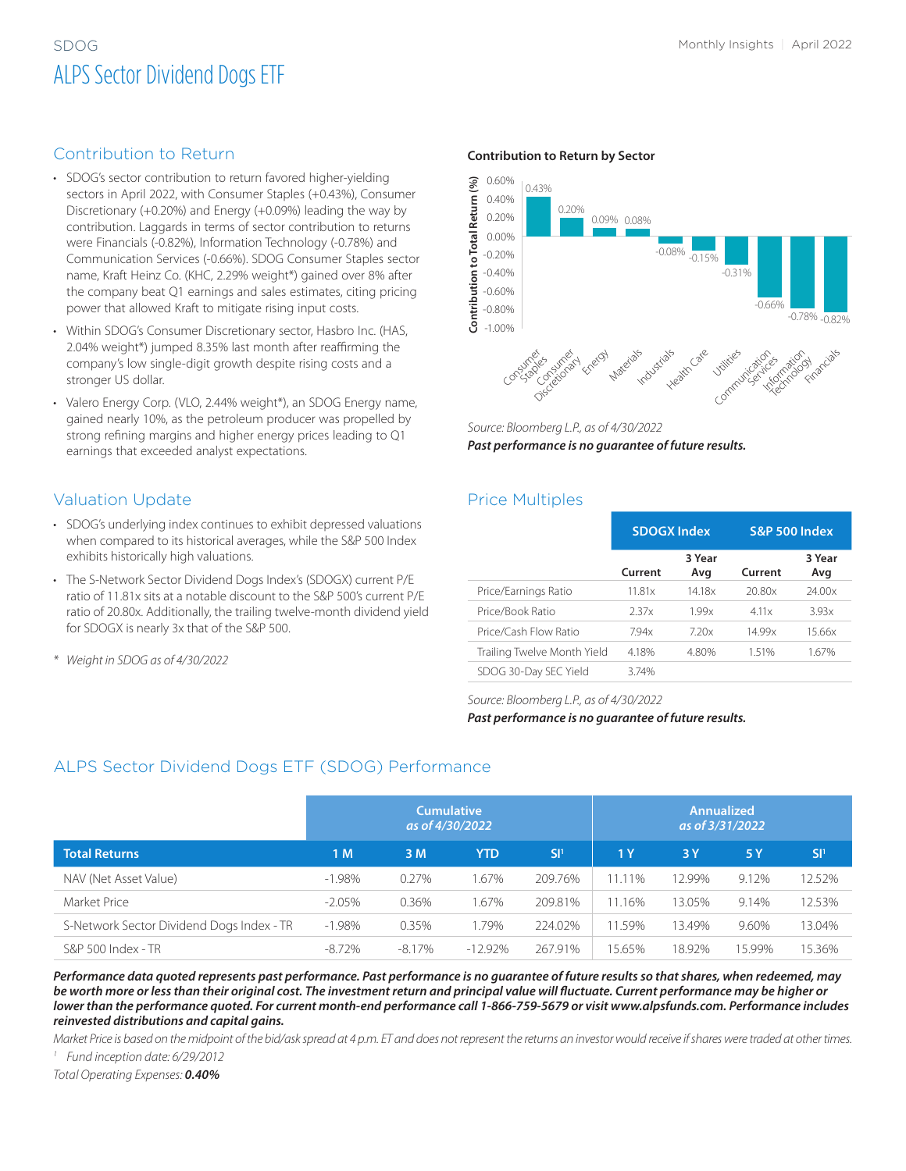## SDOG Monthly Insights | April 2022 ALPS Sector Dividend Dogs ETF

#### Contribution to Return

- SDOG's sector contribution to return favored higher-yielding sectors in April 2022, with Consumer Staples (+0.43%), Consumer Discretionary (+0.20%) and Energy (+0.09%) leading the way by contribution. Laggards in terms of sector contribution to returns were Financials (-0.82%), Information Technology (-0.78%) and Communication Services (-0.66%). SDOG Consumer Staples sector name, Kraft Heinz Co. (KHC, 2.29% weight\*) gained over 8% after the company beat Q1 earnings and sales estimates, citing pricing power that allowed Kraft to mitigate rising input costs.
- Within SDOG's Consumer Discretionary sector, Hasbro Inc. (HAS, 2.04% weight\*) jumped 8.35% last month after reaffirming the company's low single-digit growth despite rising costs and a stronger US dollar.
- Valero Energy Corp. (VLO, 2.44% weight\*), an SDOG Energy name, gained nearly 10%, as the petroleum producer was propelled by strong refining margins and higher energy prices leading to Q1 earnings that exceeded analyst expectations.

## Valuation Update

- SDOG's underlying index continues to exhibit depressed valuations when compared to its historical averages, while the S&P 500 Index exhibits historically high valuations.
- The S-Network Sector Dividend Dogs Index's (SDOGX) current P/E ratio of 11.81x sits at a notable discount to the S&P 500's current P/E ratio of 20.80x. Additionally, the trailing twelve-month dividend yield for SDOGX is nearly 3x that of the S&P 500.
- *\* Weight in SDOG as of 4/30/2022*

#### **Contribution to Return by Sector**



*Source: Bloomberg L.P., as of 4/30/2022 Past performance is no guarantee of future results.*

#### Price Multiples

|                             | <b>SDOGX Index</b> |               | <b>S&amp;P 500 Index</b> |               |  |
|-----------------------------|--------------------|---------------|--------------------------|---------------|--|
|                             | Current            | 3 Year<br>Avg | Current                  | 3 Year<br>Avg |  |
| Price/Earnings Ratio        | 11.81x             | 14.18x        | 20.80x                   | 24.00x        |  |
| Price/Book Ratio            | 2.37x              | 199x          | 4.11x                    | 3.93x         |  |
| Price/Cash Flow Ratio       | 794x               | 7.20x         | 14.99x                   | 15.66x        |  |
| Trailing Twelve Month Yield | 4.18%              | 4.80%         | 1.51%                    | 1.67%         |  |
| SDOG 30-Day SEC Yield       | 3.74%              |               |                          |               |  |

#### *Source: Bloomberg L.P., as of 4/30/2022*

*Past performance is no guarantee of future results.*

## ALPS Sector Dividend Dogs ETF (SDOG) Performance

|                                           | <b>Cumulative</b><br>as of 4/30/2022 |          |            | <b>Annualized</b><br>as of 3/31/2022 |        |        |        |                 |
|-------------------------------------------|--------------------------------------|----------|------------|--------------------------------------|--------|--------|--------|-----------------|
| <b>Total Returns</b>                      | 1 M                                  | 3 M      | <b>YTD</b> | SI <sup>1</sup>                      | 1Y     | 3Y     | 5 Y    | SI <sup>1</sup> |
| NAV (Net Asset Value)                     | $-1.98%$                             | 0.27%    | 1.67%      | 209.76%                              | 11.11% | 12.99% | 9.12%  | 12.52%          |
| Market Price                              | $-2.05%$                             | 0.36%    | 1.67%      | 209.81%                              | 1.16%  | 13.05% | 9.14%  | 12.53%          |
| S-Network Sector Dividend Dogs Index - TR | $-1.98%$                             | 0.35%    | 1.79%      | 224.02%                              | 1.59%  | 13.49% | 9.60%  | 13.04%          |
| S&P 500 Index - TR                        | $-8.72%$                             | $-8.17%$ | $-12.92\%$ | 267.91%                              | 15.65% | 18.92% | 15.99% | 15.36%          |

*Performance data quoted represents past performance. Past performance is no guarantee of future results so that shares, when redeemed, may be worth more or less than their original cost. The investment return and principal value will fluctuate. Current performance may be higher or lower than the performance quoted. For current month-end performance call 1-866-759-5679 or visit www.alpsfunds.com. Performance includes reinvested distributions and capital gains.*

*Market Price is based on the midpoint of the bid/ask spread at 4 p.m. ET and does not represent the returns an investor would receive if shares were traded at other times.*

*<sup>1</sup> Fund inception date: 6/29/2012*

*Total Operating Expenses: 0.40%*